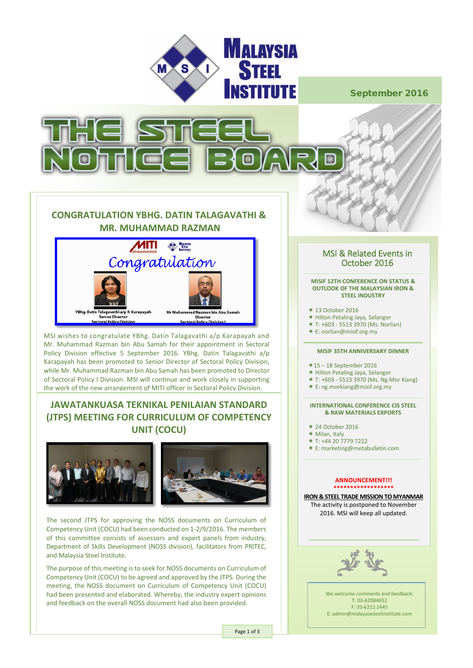

September 2016



## **CONGRATULATION YBHG. DATIN TALAGAVATHI & MR. MUHAMMAD RAZMAN**



MSI wishes to congratulate YBhg. Datin Talagavathi a/p Karapayah and Mr. Muhammad Razman bin Abu Samah for their appointment in Sectoral Policy Division effective 5 September 2016. YBhg. Datin Talagavathi a/p Karapayah has been promoted to Senior Director of Sectoral Policy Division, while Mr. Muhammad Razman bin Abu Samah has been promoted to Director of Sectoral Policy I Division. MSI will continue and work closely in supporting the work of the new arrangement of MITI officer in Sectoral Policy Division.

## **JAWATANKUASA TEKNIKAL PENILAIAN STANDARD (JTPS) MEETING FOR CURRICULUM OF COMPETENCY UNIT (COCU)**



The second JTPS for approving the NOSS documents on Curriculum of Competency Unit (COCU) had been conducted on 1-2/9/2016. The members of this committee consists of assessors and expert panels from industry, Department of Skills Development (NOSS division), facilitators from PRITEC, and Malaysia Steel Institute.

The purpose of this meeting is to seek for NOSS documents on Curriculum of Competency Unit (COCU) to be agreed and approved by the JTPS. During the meeting, the NOSS document on Curriculum of Competency Unit (COCU) had been presented and elaborated. Whereby, the industry expert opinions and feedback on the overall NOSS document had also been provided.

# MSI & Related Events in<br>October 2016

#### **MISIF 12TH CONFERENCE ON STATUS & OUTLOOK OF THE MALAYSIAN IRON & STEEL INDUSTRY**

- 13 October 2016
- Hilton Petaling Jaya, Selangor
- T: +603 5513 3970 (Ms. Norlian)
- E: norlian@misif.org.my

#### **MISIF 35TH ANNIVERSARY DINNER**

- 15 18 September 2016
- \* Hilton Petaling Jaya, Selangor
- T: +603 5513 3970 (Ms. Ng Mor Kiang)
- E: ng.morkiang@misif.org.my

#### **INTERNATIONAL CONFERENCE CIS STEEL & RAW MATERIALS EXPORTS**

- 24 October 2016
- Milan, Italy
- T: +44 20 7779 7222
- E: marketing@metabulletin.com

#### **ANNOUNCEMENT!!! \*\*\*\*\*\*\*\*\*\*\*\*\*\*\*\*\*\***

**IRON & STEEL TRADE MISSION TO MYANMAR** The activity is postponed to November 2016. MSI will keep all updated.



We welcome comments and feedback: T: 03-62084652 F: 03-6211 2445 E: admin@malaysiasteelinstitute.com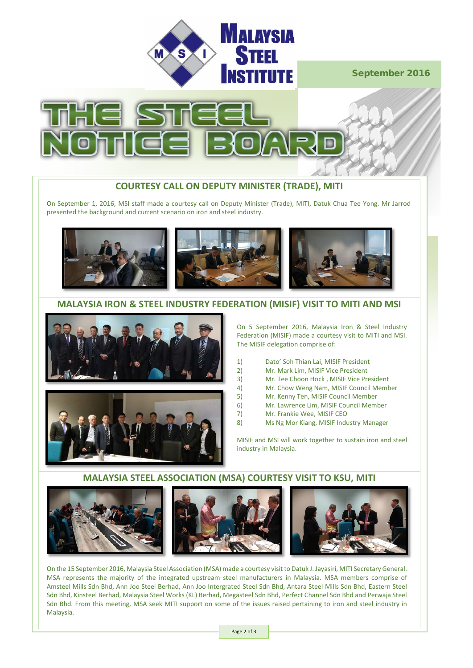

## September 2016



#### **COURTESY CALL ON DEPUTY MINISTER (TRADE), MITI**

On September 1, 2016, MSI staff made a courtesy call on Deputy Minister (Trade), MITI, Datuk Chua Tee Yong. Mr Jarrod presented the background and current scenario on iron and steel industry.



#### **MALAYSIA IRON & STEEL INDUSTRY FEDERATION (MISIF) VISIT TO MITI AND MSI**





On 5 September 2016, Malaysia Iron & Steel Industry Federation (MISIF) made a courtesy visit to MITI and MSI. The MISIF delegation comprise of:

- 1) Dato' Soh Thian Lai, MISIF President<br>2) Mr. Mark Lim. MISIF Vice President
- 2) Mr. Mark Lim, MISIF Vice President<br>3) Mr. Tee Choon Hock , MISIF Vice Pre
- 3) Mr. Tee Choon Hock, MISIF Vice President<br>4) Mr. Chow Weng Nam. MISIF Council Memb
- 4) Mr. Chow Weng Nam, MISIF Council Member
- 5) Mr. Kenny Ten, MISIF Council Member<br>6) Mr. Lawrence Lim, MISIF Council Meml
- 6) Mr. Lawrence Lim, MISIF Council Member
- 7) Mr. Frankie Wee, MISIF CEO
- 8) Ms Ng Mor Kiang, MISIF Industry Manager

MISIF and MSI will work together to sustain iron and steel industry in Malaysia.

#### **MALAYSIA STEEL ASSOCIATION (MSA) COURTESY VISIT TO KSU, MITI**



On the 15 September 2016, Malaysia Steel Association (MSA) made a courtesy visit to Datuk J. Jayasiri, MITI Secretary General. MSA represents the majority of the integrated upstream steel manufacturers in Malaysia. MSA members comprise of Amsteel Mills Sdn Bhd, Ann Joo Steel Berhad, Ann Joo Intergrated Steel Sdn Bhd, Antara Steel Mills Sdn Bhd, Eastern Steel Sdn Bhd, Kinsteel Berhad, Malaysia Steel Works (KL) Berhad, Megasteel Sdn Bhd, Perfect Channel Sdn Bhd and Perwaja Steel Sdn Bhd. From this meeting, MSA seek MITI support on some of the issues raised pertaining to iron and steel industry in Malaysia.